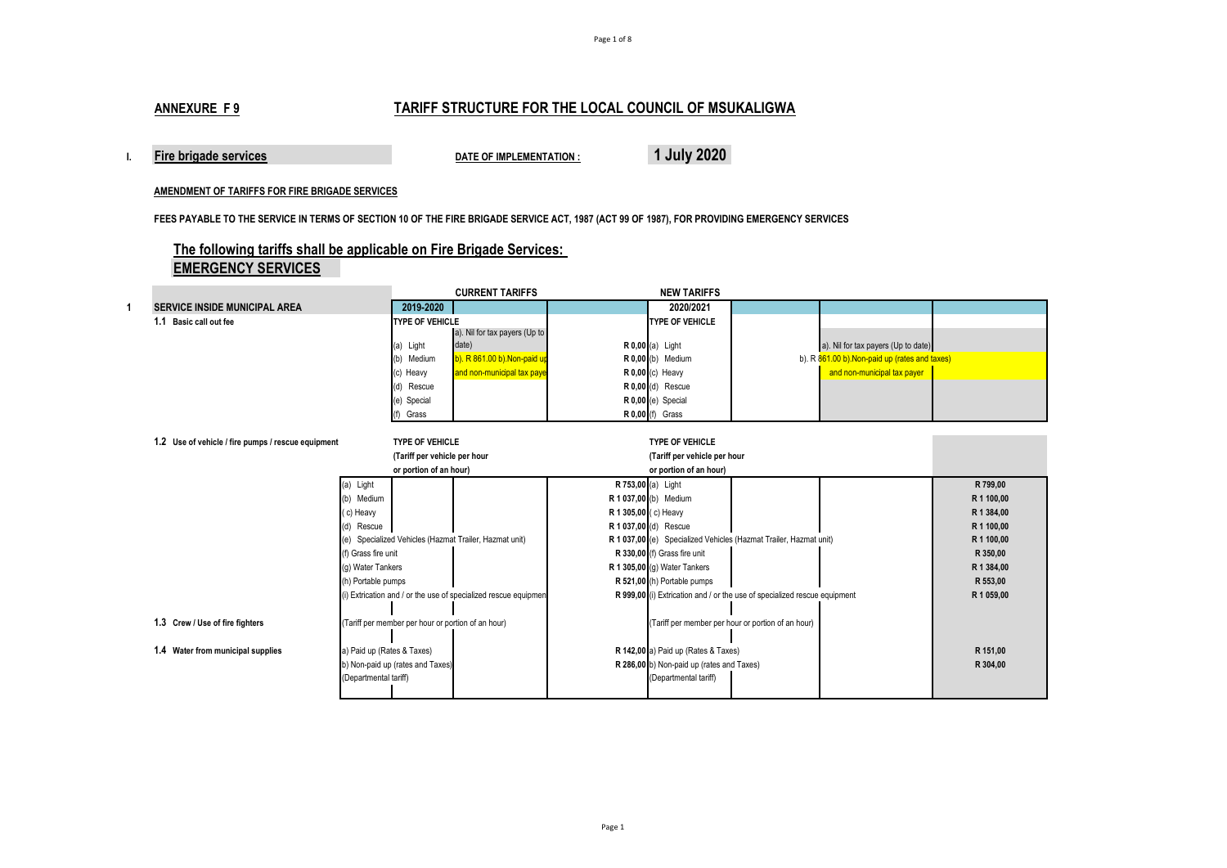# **ANNEXURE F 9 TARIFF STRUCTURE FOR THE LOCAL COUNCIL OF MSUKALIGWA**

**I. Fire brigade services DATE OF IMPLEMENTATION : 1 July 2020**

#### **AMENDMENT OF TARIFFS FOR FIRE BRIGADE SERVICES**

**FEES PAYABLE TO THE SERVICE IN TERMS OF SECTION 10 OF THE FIRE BRIGADE SERVICE ACT, 1987 (ACT 99 OF 1987), FOR PROVIDING EMERGENCY SERVICES**

# **The following tariffs shall be applicable on Fire Brigade Services: EMERGENCY SERVICES**

|                                                    |                            |                                                    | <b>CURRENT TARIFFS</b>                                         |                      | <b>NEW TARIFFS</b>                        |                                                                           |                                                |            |
|----------------------------------------------------|----------------------------|----------------------------------------------------|----------------------------------------------------------------|----------------------|-------------------------------------------|---------------------------------------------------------------------------|------------------------------------------------|------------|
| <b>SERVICE INSIDE MUNICIPAL AREA</b>               |                            | 2019-2020                                          |                                                                |                      | 2020/2021                                 |                                                                           |                                                |            |
| 1.1 Basic call out fee                             |                            | <b>TYPE OF VEHICLE</b>                             |                                                                |                      | <b>TYPE OF VEHICLE</b>                    |                                                                           |                                                |            |
|                                                    |                            |                                                    | a). Nil for tax payers (Up to                                  |                      |                                           |                                                                           |                                                |            |
|                                                    |                            | (a) Light                                          | date)                                                          |                      | <b>R</b> 0,00 (a) Light                   |                                                                           | a). Nil for tax payers (Up to date)            |            |
|                                                    |                            | (b) Medium                                         | b). R 861.00 b). Non-paid up                                   |                      | $R$ 0,00 (b) Medium                       |                                                                           | b). R 861.00 b). Non-paid up (rates and taxes) |            |
|                                                    |                            | (c) Heavy                                          | and non-municipal tax paye                                     |                      | R 0,00 (c) Heavy                          |                                                                           | and non-municipal tax payer                    |            |
|                                                    |                            | (d) Rescue                                         |                                                                |                      | R 0,00 (d) Rescue                         |                                                                           |                                                |            |
|                                                    |                            | (e) Special                                        |                                                                |                      | $R$ 0,00 (e) Special                      |                                                                           |                                                |            |
|                                                    |                            | (f) Grass                                          |                                                                |                      | R 0,00 (f) Grass                          |                                                                           |                                                |            |
|                                                    |                            |                                                    |                                                                |                      |                                           |                                                                           |                                                |            |
| 1.2 Use of vehicle / fire pumps / rescue equipment |                            | <b>TYPE OF VEHICLE</b>                             |                                                                |                      | <b>TYPE OF VEHICLE</b>                    |                                                                           |                                                |            |
|                                                    |                            | (Tariff per vehicle per hour                       |                                                                |                      | (Tariff per vehicle per hour              |                                                                           |                                                |            |
|                                                    |                            | or portion of an hour)                             |                                                                |                      | or portion of an hour)                    |                                                                           |                                                |            |
|                                                    | (a) Light                  |                                                    |                                                                | R 753,00 (a) Light   |                                           |                                                                           |                                                | R 799,00   |
|                                                    | (b) Medium                 |                                                    |                                                                |                      | R 1 037,00 (b) Medium                     |                                                                           |                                                | R 1 100,00 |
|                                                    | (c) Heavy                  |                                                    |                                                                | R 1 305,00 (c) Heavy |                                           |                                                                           |                                                | R 1 384,00 |
|                                                    | (d) Rescue                 |                                                    |                                                                |                      | R 1 037,00 (d) Rescue                     |                                                                           |                                                | R 1 100,00 |
|                                                    |                            |                                                    | (e) Specialized Vehicles (Hazmat Trailer, Hazmat unit)         |                      |                                           | R 1 037,00 (e) Specialized Vehicles (Hazmat Trailer, Hazmat unit)         |                                                | R 1 100,00 |
|                                                    | (f) Grass fire unit        |                                                    |                                                                |                      | R 330,00 (f) Grass fire unit              |                                                                           |                                                | R 350,00   |
|                                                    | (g) Water Tankers          |                                                    |                                                                |                      | R 1 305,00 (q) Water Tankers              |                                                                           |                                                | R 1 384,00 |
|                                                    | (h) Portable pumps         |                                                    |                                                                |                      | R 521,00 (h) Portable pumps               |                                                                           |                                                | R 553,00   |
|                                                    |                            |                                                    | i) Extrication and / or the use of specialized rescue equipmen |                      |                                           | R 999,00 (i) Extrication and / or the use of specialized rescue equipment |                                                | R 1 059,00 |
|                                                    |                            |                                                    |                                                                |                      |                                           |                                                                           |                                                |            |
| 1.3 Crew / Use of fire fighters                    |                            | (Tariff per member per hour or portion of an hour) |                                                                |                      |                                           | (Tariff per member per hour or portion of an hour)                        |                                                |            |
|                                                    |                            |                                                    |                                                                |                      |                                           |                                                                           |                                                |            |
| 1.4 Water from municipal supplies                  | a) Paid up (Rates & Taxes) |                                                    |                                                                |                      | R 142,00 a) Paid up (Rates & Taxes)       |                                                                           |                                                | R 151,00   |
|                                                    |                            | b) Non-paid up (rates and Taxes)                   |                                                                |                      | R 286,00 b) Non-paid up (rates and Taxes) |                                                                           |                                                | R 304,00   |
|                                                    | (Departmental tariff)      |                                                    |                                                                |                      | (Departmental tariff)                     |                                                                           |                                                |            |
|                                                    |                            |                                                    |                                                                |                      |                                           |                                                                           |                                                |            |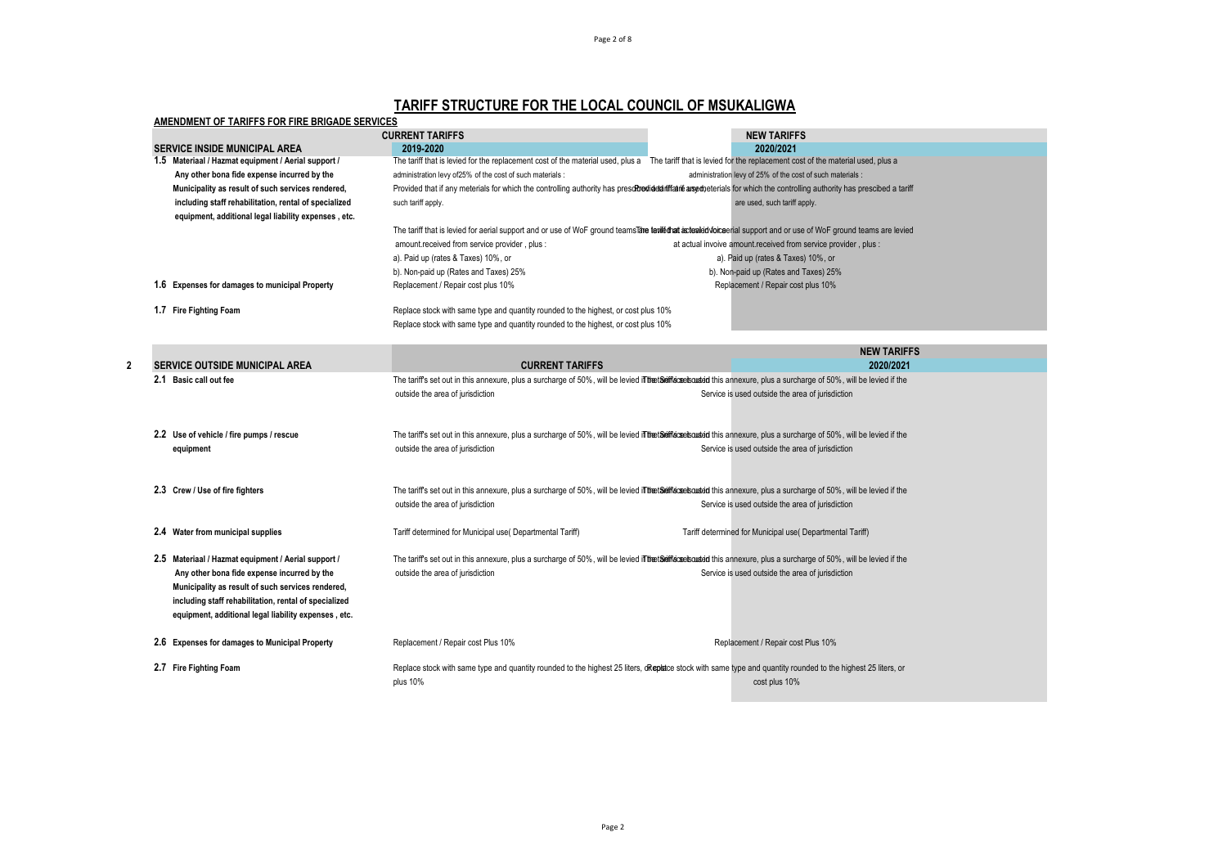# **TARIFF STRUCTURE FOR THE LOCAL COUNCIL OF MSUKALIGWA**

| AMENDMENT OF TARIFFS FOR FIRE BRIGADE SERVICES                                                                                                                                                                                                                           | <b>CURRENT TARIFFS</b>                                                             | <b>NEW TARIFFS</b>                                                                                                                                                                                                         |
|--------------------------------------------------------------------------------------------------------------------------------------------------------------------------------------------------------------------------------------------------------------------------|------------------------------------------------------------------------------------|----------------------------------------------------------------------------------------------------------------------------------------------------------------------------------------------------------------------------|
| <b>SERVICE INSIDE MUNICIPAL AREA</b>                                                                                                                                                                                                                                     |                                                                                    | 2020/2021                                                                                                                                                                                                                  |
| 1.5 Materiaal / Hazmat equipment / Aerial support /                                                                                                                                                                                                                      | 2019-2020                                                                          | The tariff that is levied for the replacement cost of the material used, plus a The tariff that is levied for the replacement cost of the material used, plus a                                                            |
| Any other bona fide expense incurred by the                                                                                                                                                                                                                              | administration levy of25% of the cost of such materials :                          | administration levy of 25% of the cost of such materials :                                                                                                                                                                 |
| Municipality as result of such services rendered,                                                                                                                                                                                                                        |                                                                                    | Provided that if any meterials for which the controlling authority has preschoedided iffatine arse deterials for which the controlling authority has prescibed a tariff                                                    |
| including staff rehabilitation, rental of specialized                                                                                                                                                                                                                    | such tariff apply.                                                                 | are used, such tariff apply.                                                                                                                                                                                               |
| equipment, additional legal liability expenses, etc.                                                                                                                                                                                                                     |                                                                                    |                                                                                                                                                                                                                            |
|                                                                                                                                                                                                                                                                          |                                                                                    | The tariff that is levied for aerial support and or use of WoF ground teams lare teriled tat acteried wice erial support and or use of WoF ground teams are levied                                                         |
|                                                                                                                                                                                                                                                                          | amount.received from service provider, plus:                                       | at actual invoive amount received from service provider, plus :                                                                                                                                                            |
|                                                                                                                                                                                                                                                                          | a). Paid up (rates & Taxes) 10%, or                                                | a). Paid up (rates & Taxes) 10%, or                                                                                                                                                                                        |
|                                                                                                                                                                                                                                                                          | b). Non-paid up (Rates and Taxes) 25%                                              | b). Non-paid up (Rates and Taxes) 25%                                                                                                                                                                                      |
| 1.6 Expenses for damages to municipal Property                                                                                                                                                                                                                           | Replacement / Repair cost plus 10%                                                 | Replacement / Repair cost plus 10%                                                                                                                                                                                         |
| 1.7 Fire Fighting Foam                                                                                                                                                                                                                                                   | Replace stock with same type and quantity rounded to the highest, or cost plus 10% |                                                                                                                                                                                                                            |
|                                                                                                                                                                                                                                                                          | Replace stock with same type and quantity rounded to the highest, or cost plus 10% |                                                                                                                                                                                                                            |
|                                                                                                                                                                                                                                                                          |                                                                                    | <b>NEW TARIFFS</b>                                                                                                                                                                                                         |
| <b>SERVICE OUTSIDE MUNICIPAL AREA</b>                                                                                                                                                                                                                                    | <b>CURRENT TARIFFS</b>                                                             | 2020/2021                                                                                                                                                                                                                  |
| 2.1 Basic call out fee                                                                                                                                                                                                                                                   |                                                                                    | The tariff's set out in this annexure, plus a surcharge of 50%, will be levied ill the tariff screek out in this annexure, plus a surcharge of 50%, will be levied if the                                                  |
|                                                                                                                                                                                                                                                                          | outside the area of jurisdiction                                                   | Service is used outside the area of jurisdiction                                                                                                                                                                           |
| 2.2 Use of vehicle / fire pumps / rescue                                                                                                                                                                                                                                 |                                                                                    | The tariff's set out in this annexure, plus a surcharge of 50%, will be levied in the tariffic se bouded this annexure, plus a surcharge of 50%, will be levied if the                                                     |
| equipment                                                                                                                                                                                                                                                                | outside the area of jurisdiction                                                   | Service is used outside the area of jurisdiction                                                                                                                                                                           |
| 2.3 Crew / Use of fire fighters                                                                                                                                                                                                                                          |                                                                                    | The tariff's set out in this annexure, plus a surcharge of 50%, will be levied if the tariff screeks under this annexure, plus a surcharge of 50%, will be levied if the                                                   |
|                                                                                                                                                                                                                                                                          | outside the area of jurisdiction                                                   | Service is used outside the area of jurisdiction                                                                                                                                                                           |
| 2.4 Water from municipal supplies                                                                                                                                                                                                                                        | Tariff determined for Municipal use( Departmental Tariff)                          | Tariff determined for Municipal use( Departmental Tariff)                                                                                                                                                                  |
| 2.5 Materiaal / Hazmat equipment / Aerial support /<br>Any other bona fide expense incurred by the<br>Municipality as result of such services rendered,<br>including staff rehabilitation, rental of specialized<br>equipment, additional legal liability expenses, etc. | outside the area of jurisdiction                                                   | The tariff's set out in this annexure, plus a surcharge of 50%, will be levied in the tariff screekouded this annexure, plus a surcharge of 50%, will be levied if the<br>Service is used outside the area of jurisdiction |
| 2.6 Expenses for damages to Municipal Property                                                                                                                                                                                                                           | Replacement / Repair cost Plus 10%                                                 | Replacement / Repair cost Plus 10%                                                                                                                                                                                         |
| 2.7 Fire Fighting Foam                                                                                                                                                                                                                                                   |                                                                                    | Replace stock with same type and quantity rounded to the highest 25 liters, dReplace stock with same type and quantity rounded to the highest 25 liters, or                                                                |
|                                                                                                                                                                                                                                                                          | plus 10%                                                                           | cost plus 10%                                                                                                                                                                                                              |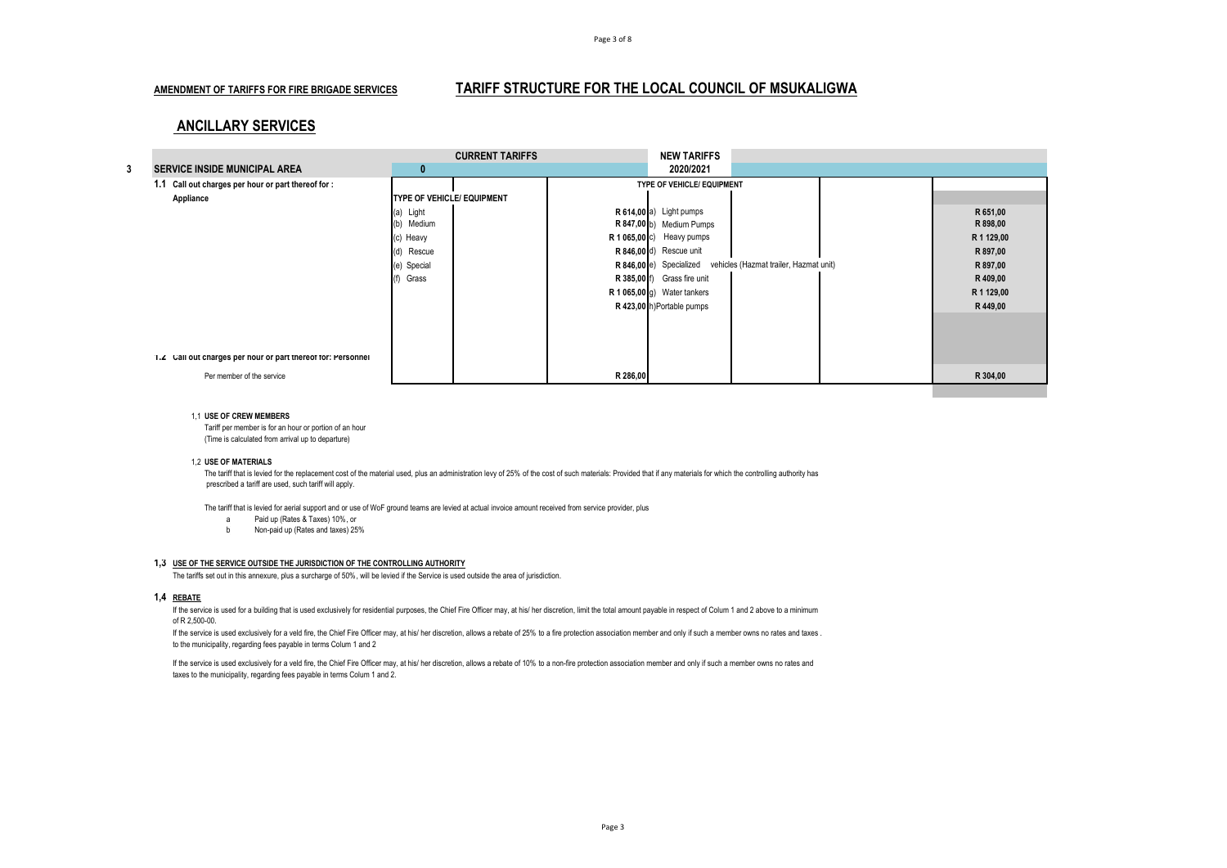### **AMENDMENT OF TARIFFS FOR FIRE BRIGADE SERVICES TARIFF STRUCTURE FOR THE LOCAL COUNCIL OF MSUKALIGWA**

## **ANCILLARY SERVICES**

|   |                                                              |                            | <b>CURRENT TARIFFS</b> |             | <b>NEW TARIFFS</b>          |                                        |            |
|---|--------------------------------------------------------------|----------------------------|------------------------|-------------|-----------------------------|----------------------------------------|------------|
| 3 | <b>SERVICE INSIDE MUNICIPAL AREA</b>                         | 0                          |                        |             | 2020/2021                   |                                        |            |
|   | 1.1 Call out charges per hour or part thereof for :          |                            |                        |             | TYPE OF VEHICLE/ EQUIPMENT  |                                        |            |
|   | Appliance                                                    | TYPE OF VEHICLE/ EQUIPMENT |                        |             |                             |                                        |            |
|   |                                                              | (a) Light                  |                        |             | R 614,00 a) Light pumps     |                                        | R 651,00   |
|   |                                                              | (b) Medium                 |                        |             | R 847,00 b) Medium Pumps    |                                        | R 898,00   |
|   |                                                              | (c) Heavy                  |                        |             | R 1 065,00 c) Heavy pumps   |                                        | R 1 129,00 |
|   |                                                              | (d) Rescue                 |                        |             | R 846,00 d) Rescue unit     |                                        | R 897,00   |
|   |                                                              | (e) Special                |                        |             | R 846,00 e) Specialized     | vehicles (Hazmat trailer, Hazmat unit) | R 897,00   |
|   |                                                              | Grass                      |                        | R 385,00 f) | Grass fire unit             |                                        | R 409,00   |
|   |                                                              |                            |                        |             | R 1 065,00 g) Water tankers |                                        | R 1 129,00 |
|   |                                                              |                            |                        |             | R 423,00 h)Portable pumps   |                                        | R 449,00   |
|   |                                                              |                            |                        |             |                             |                                        |            |
|   |                                                              |                            |                        |             |                             |                                        |            |
|   |                                                              |                            |                        |             |                             |                                        |            |
|   | 1.2 Call out charges per hour or part thereof for: Personnel |                            |                        |             |                             |                                        |            |
|   | Per member of the service                                    |                            |                        | R 286,00    |                             |                                        | R 304,00   |
|   |                                                              |                            |                        |             |                             |                                        |            |

#### 1,1 **USE OF CREW MEMBERS**

Tariff per member is for an hour or portion of an hour (Time is calculated from arrival up to departure)

#### 1,2 **USE OF MATERIALS**

The tariff that is levied for the replacement cost of the material used, plus an administration levy of 25% of the cost of such materials: Provided that if any materials for which the controlling authority has prescribed a tariff are used, such tariff will apply.

The tariff that is levied for aerial support and or use of WoF ground teams are levied at actual invoice amount received from service provider, plus

- a) Paid up (Rates & Taxes) 10%, or
- b) Non-paid up (Rates and taxes) 25%

#### **1,3 USE OF THE SERVICE OUTSIDE THE JURISDICTION OF THE CONTROLLING AUTHORITY**

The tariffs set out in this annexure, plus a surcharge of 50%, will be levied if the Service is used outside the area of jurisdiction.

#### **1,4 REBATE**

If the service is used for a building that is used exclusively for residential purposes, the Chief Fire Officer may, at his/ her discretion, limit the total amount payable in respect of Colum 1 and 2 above to a minimum of R 2,500-00.

If the service is used exclusively for a veld fire, the Chief Fire Officer may, at his/ her discretion, allows a rebate of 25% to a fire protection association member and only if such a member owns no rates and taxes . to the municipality, regarding fees payable in terms Colum 1 and 2

If the service is used exclusively for a veld fire, the Chief Fire Officer may, at his/ her discretion, allows a rebate of 10% to a non-fire protection association member and only if such a member owns no rates and taxes to the municipality, regarding fees payable in terms Colum 1 and 2.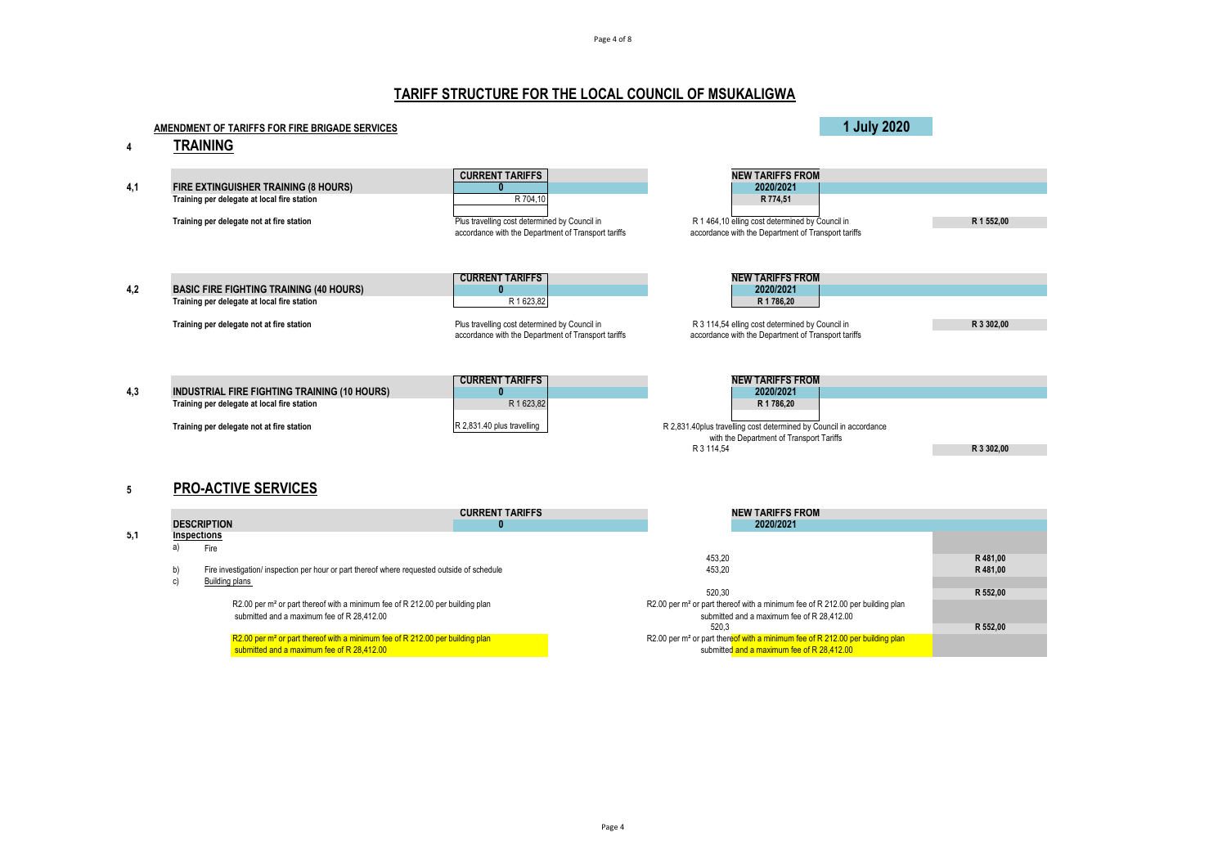Page 4 of 8

# **TARIFF STRUCTURE FOR THE LOCAL COUNCIL OF MSUKALIGWA**

|     | AMENDMENT OF TARIFFS FOR FIRE BRIGADE SERVICES                                                                                                  |                                                                                                                                                               |                                                                                                                                                                                    | 1 July 2020 |                     |
|-----|-------------------------------------------------------------------------------------------------------------------------------------------------|---------------------------------------------------------------------------------------------------------------------------------------------------------------|------------------------------------------------------------------------------------------------------------------------------------------------------------------------------------|-------------|---------------------|
|     | <b>TRAINING</b>                                                                                                                                 |                                                                                                                                                               |                                                                                                                                                                                    |             |                     |
| 4,1 | FIRE EXTINGUISHER TRAINING (8 HOURS)<br>Training per delegate at local fire station<br>Training per delegate not at fire station                | <b>CURRENT TARIFFS</b><br>n<br>R 704.10<br>Plus travelling cost determined by Council in<br>accordance with the Department of Transport tariffs               | <b>NEW TARIFFS FROM</b><br>2020/2021<br>R 774.51<br>R 1 464,10 elling cost determined by Council in<br>accordance with the Department of Transport tariffs                         |             | R 1 552.00          |
| 4,2 | <b>BASIC FIRE FIGHTING TRAINING (40 HOURS)</b><br>Training per delegate at local fire station<br>Training per delegate not at fire station      | <b>CURRENT TARIFFS</b><br>$\overline{0}$<br>R 1623,82<br>Plus travelling cost determined by Council in<br>accordance with the Department of Transport tariffs | <b>NEW TARIFFS FROM</b><br>2020/2021<br>R 1 786.20<br>R 3 114,54 elling cost determined by Council in<br>accordance with the Department of Transport tariffs                       |             | R 3 302.00          |
| 4,3 | <b>INDUSTRIAL FIRE FIGHTING TRAINING (10 HOURS)</b><br>Training per delegate at local fire station<br>Training per delegate not at fire station | <b>CURRENT TARIFFS</b><br>$\mathbf{0}$<br>R 1623,82<br>R 2,831.40 plus travelling                                                                             | <b>NEW TARIFFS FROM</b><br>2020/2021<br>R 1 786.20<br>R 2,831.40plus travelling cost determined by Council in accordance<br>with the Department of Transport Tariffs<br>R 3 114,54 |             | R 3 302.00          |
| 5   | <b>PRO-ACTIVE SERVICES</b>                                                                                                                      |                                                                                                                                                               |                                                                                                                                                                                    |             |                     |
|     | <b>DESCRIPTION</b>                                                                                                                              | <b>CURRENT TARIFFS</b><br>$\overline{0}$                                                                                                                      | <b>NEW TARIFFS FROM</b><br>2020/2021                                                                                                                                               |             |                     |
| 5,1 | Inspections<br>a)<br>Fire                                                                                                                       |                                                                                                                                                               |                                                                                                                                                                                    |             |                     |
|     | Fire investigation/ inspection per hour or part thereof where requested outside of schedule<br>b)                                               |                                                                                                                                                               | 453.20<br>453,20                                                                                                                                                                   |             | R481.00<br>R 481,00 |
|     | <b>Building plans</b><br>c)                                                                                                                     |                                                                                                                                                               | 520,30                                                                                                                                                                             |             | R 552,00            |
|     | R2.00 per m <sup>2</sup> or part thereof with a minimum fee of R 212.00 per building plan<br>submitted and a maximum fee of R 28,412.00         |                                                                                                                                                               | R2.00 per m <sup>2</sup> or part thereof with a minimum fee of R 212.00 per building plan<br>submitted and a maximum fee of R 28,412.00                                            |             |                     |
|     |                                                                                                                                                 |                                                                                                                                                               | 520.3                                                                                                                                                                              |             | R 552,00            |
|     | R2.00 per m <sup>2</sup> or part thereof with a minimum fee of R 212.00 per building plan<br>submitted and a maximum fee of R 28,412.00         |                                                                                                                                                               | R2.00 per m <sup>2</sup> or part thereof with a minimum fee of R 212.00 per building plan<br>submitted and a maximum fee of R 28,412.00                                            |             |                     |

submitted and a maximum fee of R 28,412.00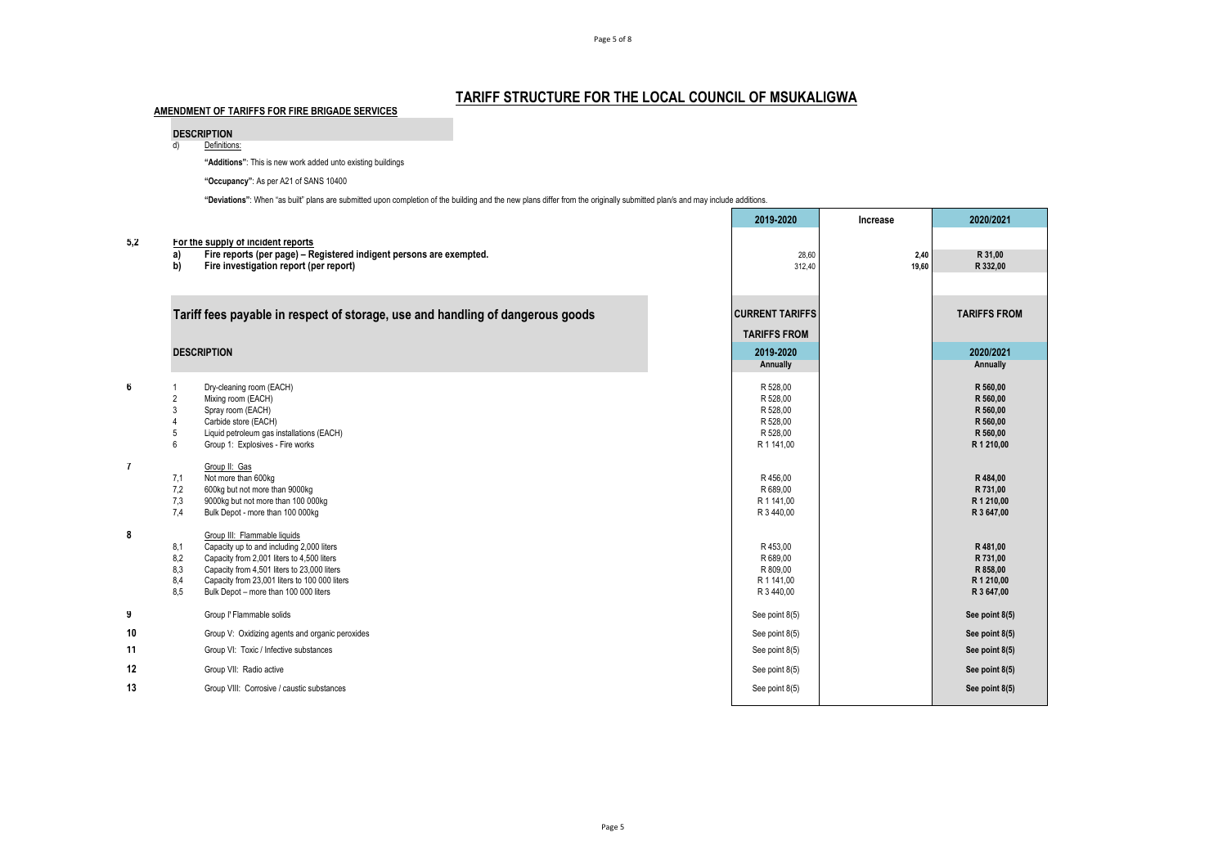## **TARIFF STRUCTURE FOR THE LOCAL COUNCIL OF MSUKALIGWA**

|                |                | "Additions": This is new work added unto existing buildings                                                                                                                |                        |          |                        |
|----------------|----------------|----------------------------------------------------------------------------------------------------------------------------------------------------------------------------|------------------------|----------|------------------------|
|                |                | "Occupancy": As per A21 of SANS 10400                                                                                                                                      |                        |          |                        |
|                |                | "Deviations": When "as built" plans are submitted upon completion of the building and the new plans differ from the originally submitted plan/s and may include additions. |                        |          |                        |
|                |                |                                                                                                                                                                            | 2019-2020              | Increase | 2020/2021              |
| 5,2            |                | For the supply of incident reports                                                                                                                                         |                        |          |                        |
|                | a)             | Fire reports (per page) - Registered indigent persons are exempted.                                                                                                        | 28,60                  | 2,40     | R 31.00                |
|                | b)             | Fire investigation report (per report)                                                                                                                                     | 312,40                 | 19,60    | R 332.00               |
|                |                |                                                                                                                                                                            |                        |          |                        |
|                |                | Tariff fees payable in respect of storage, use and handling of dangerous goods                                                                                             | <b>CURRENT TARIFFS</b> |          | <b>TARIFFS FROM</b>    |
|                |                |                                                                                                                                                                            | <b>TARIFFS FROM</b>    |          |                        |
|                |                | <b>DESCRIPTION</b>                                                                                                                                                         | 2019-2020              |          | 2020/2021              |
|                |                |                                                                                                                                                                            | Annually               |          | Annually               |
| 6              | $\overline{1}$ | Dry-cleaning room (EACH)                                                                                                                                                   | R 528,00               |          | R 560,00               |
|                | $\overline{2}$ | Mixing room (EACH)                                                                                                                                                         | R 528,00               |          | R 560,00               |
|                | 3              | Spray room (EACH)                                                                                                                                                          | R 528,00               |          | R 560,00               |
|                | 4              | Carbide store (EACH)                                                                                                                                                       | R 528,00               |          | R 560,00               |
|                | 5              | Liquid petroleum gas installations (EACH)                                                                                                                                  | R 528,00               |          | R 560.00               |
|                | 6              | Group 1: Explosives - Fire works                                                                                                                                           | R 1 141,00             |          | R 1 210,00             |
| $\overline{7}$ |                | Group II: Gas                                                                                                                                                              |                        |          |                        |
|                | 7,1            | Not more than 600kg                                                                                                                                                        | R 456.00               |          | R484.00                |
|                | 7,2<br>7,3     | 600kg but not more than 9000kg<br>9000kg but not more than 100 000kg                                                                                                       | R 689,00<br>R 1 141.00 |          | R 731,00<br>R 1 210.00 |
|                | 7.4            | Bulk Depot - more than 100 000kg                                                                                                                                           | R 3 440,00             |          | R 3 647,00             |
|                |                |                                                                                                                                                                            |                        |          |                        |
| 8              | 8,1            | Group III: Flammable liquids<br>Capacity up to and including 2,000 liters                                                                                                  | R 453,00               |          | R481,00                |
|                | 8,2            | Capacity from 2,001 liters to 4,500 liters                                                                                                                                 | R 689,00               |          | R 731,00               |
|                | 8,3            | Capacity from 4,501 liters to 23,000 liters                                                                                                                                | R 809,00               |          | R 858,00               |
|                | 8,4            | Capacity from 23,001 liters to 100 000 liters                                                                                                                              | R 1 141.00             |          | R 1 210,00             |
|                | 8.5            | Bulk Depot - more than 100 000 liters                                                                                                                                      | R 3 440,00             |          | R 3 647,00             |
| 9              |                | Group I' Flammable solids                                                                                                                                                  | See point 8(5)         |          | See point 8(5)         |
| 10             |                | Group V: Oxidizing agents and organic peroxides                                                                                                                            | See point 8(5)         |          | See point 8(5)         |
| 11             |                | Group VI: Toxic / Infective substances                                                                                                                                     | See point 8(5)         |          | See point 8(5)         |
| 12             |                | Group VII: Radio active                                                                                                                                                    | See point 8(5)         |          | See point 8(5)         |
| 13             |                | Group VIII: Corrosive / caustic substances                                                                                                                                 | See point 8(5)         |          | See point 8(5)         |
|                |                |                                                                                                                                                                            |                        |          |                        |

**AMENDMENT OF TARIFFS FOR FIRE BRIGADE SERVICES**

**DESCRIPTION**<br>d) Definition Definitions: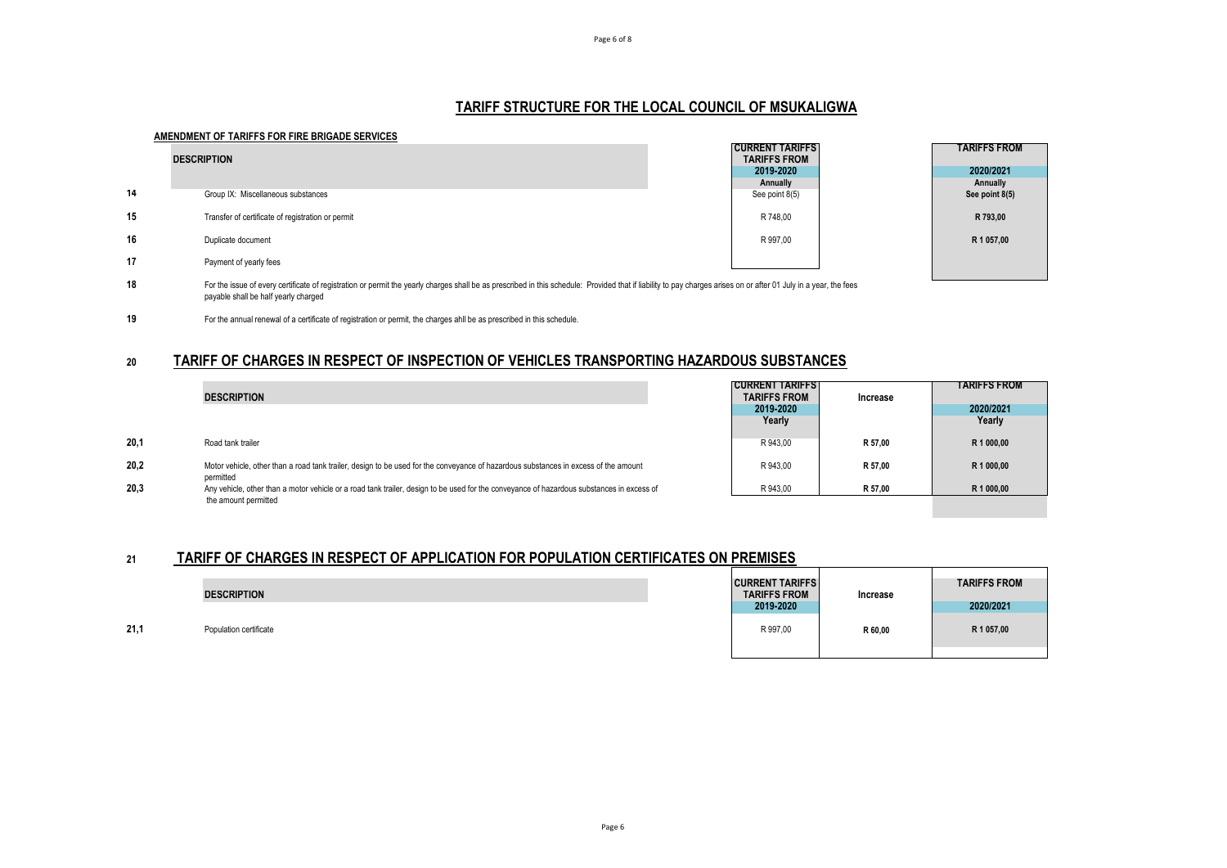## **TARIFF STRUCTURE FOR THE LOCAL COUNCIL OF MSUKALIGWA**

#### **AMENDMENT OF TARIFFS FOR FIRE BRIGADE SERVICES**

|    | <b>DESCRIPTION</b>                                                                                                                                                                                                | <b>CURRENT TARIFFS</b><br><b>TARIFFS FROM</b> | <b>TARIFFS FROM</b> |
|----|-------------------------------------------------------------------------------------------------------------------------------------------------------------------------------------------------------------------|-----------------------------------------------|---------------------|
|    |                                                                                                                                                                                                                   | 2019-2020                                     | 2020/2021           |
|    |                                                                                                                                                                                                                   | Annually                                      | Annually            |
| 14 | Group IX: Miscellaneous substances                                                                                                                                                                                | See point 8(5)                                | See point 8(5)      |
| 15 | Transfer of certificate of registration or permit                                                                                                                                                                 | R 748,00                                      | R 793,00            |
| 16 | Duplicate document                                                                                                                                                                                                | R 997.00                                      | R 1 057,00          |
| 17 | Payment of yearly fees                                                                                                                                                                                            |                                               |                     |
| 18 | For the issue of every certificate of registration or permit the yearly charges shall be as prescribed in this schedule: Provided that if liability to pay charges arises on or after 01 July in a year, the fees |                                               |                     |

**18** For the issue of every certificate of registration or permit the yearly charges shall be as prescribed in this schedule: Provided that if liability to pay charges arises on or after 01 July in a year, the fees payable shall be half yearly charged

**19** For the annual renewal of a certificate of registration or permit, the charges ahll be as prescribed in this schedule.

## **20 TARIFF OF CHARGES IN RESPECT OF INSPECTION OF VEHICLES TRANSPORTING HAZARDOUS SUBSTANCES**

|      | <b>DESCRIPTION</b>                                                                                                                                                | <b>CURRENT TARIFFS</b><br><b>TARIFFS FROM</b><br>2019-2020 | Increase | TARIFFS FROM<br>2020/2021 |
|------|-------------------------------------------------------------------------------------------------------------------------------------------------------------------|------------------------------------------------------------|----------|---------------------------|
|      |                                                                                                                                                                   | Yearly                                                     |          | Yearly                    |
| 20.1 | Road tank trailer                                                                                                                                                 | R 943.00                                                   | R 57.00  | R 1 000.00                |
| 20.2 | Motor vehicle, other than a road tank trailer, design to be used for the conveyance of hazardous substances in excess of the amount<br>permitted                  | R 943.00                                                   | R 57.00  | R 1 000.00                |
| 20.3 | Any vehicle, other than a motor vehicle or a road tank trailer, design to be used for the conveyance of hazardous substances in excess of<br>the amount permitted | R 943.00                                                   | R 57.00  | R 1 000,00                |

# **21 TARIFF OF CHARGES IN RESPECT OF APPLICATION FOR POPULATION CERTIFICATES ON PREMISES**

|      | <b>DESCRIPTION</b>     | <b>CURRENT TARIFFS</b><br><b>TARIFFS FROM</b><br>2019-2020 | Increase | <b>TARIFFS FROM</b><br>2020/2021 |
|------|------------------------|------------------------------------------------------------|----------|----------------------------------|
| 21,1 | Population certificate | R 997.00                                                   | R 60,00  | R 1 057,00                       |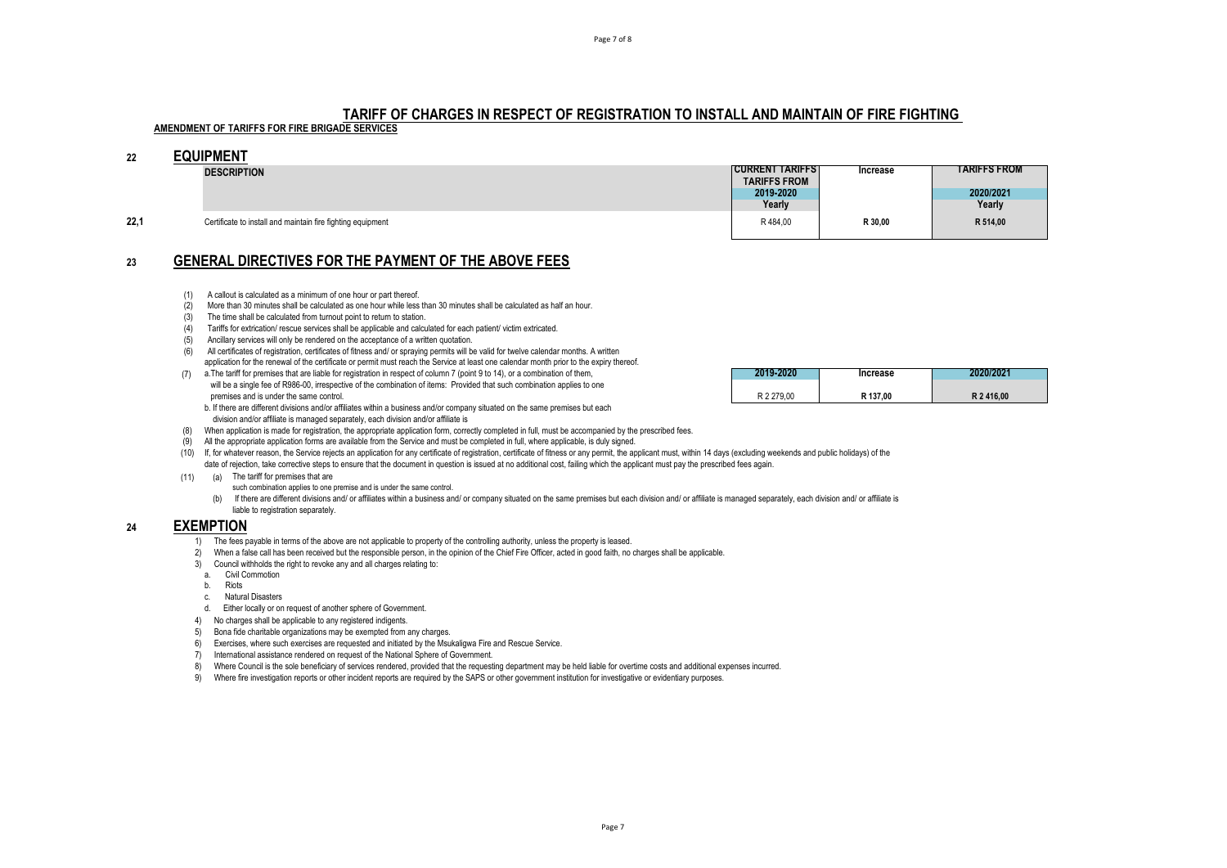## **TARIFF OF CHARGES IN RESPECT OF REGISTRATION TO INSTALL AND MAINTAIN OF FIRE FIGHTING**

# **AMENDMENT OF TARIFFS FOR FIRE BRIGADE SERVICES**

## **22 EQUIPMENT**

|      | <b>DESCRIPTION</b>                                          | <b>CURRENT TARIFFST</b> | Increase | <b>TARIFFS FROM</b> |
|------|-------------------------------------------------------------|-------------------------|----------|---------------------|
|      |                                                             | <b>TARIFFS FROM</b>     |          |                     |
|      |                                                             | 2019-2020               |          | 2020/2021           |
|      |                                                             | Yearly                  |          | Yearly              |
| 22,1 | Certificate to install and maintain fire fighting equipment | R484,00                 | R 30,00  | R 514,00            |
|      |                                                             |                         |          |                     |

## **23 GENERAL DIRECTIVES FOR THE PAYMENT OF THE ABOVE FEES**

- (1) A callout is calculated as a minimum of one hour or part thereof.
- (2) More than 30 minutes shall be calculated as one hour while less than 30 minutes shall be calculated as half an hour.
- $(3)$  The time shall be calculated from turnout point to return to station.
- (4) Tariffs for extrication/ rescue services shall be applicable and calculated for each patient/ victim extricated.
- (5) Ancillary services will only be rendered on the acceptance of a written quotation.
- (6) All certificates of registration, certificates of fitness and/ or spraying permits will be valid for twelve calendar months. A written application for the renewal of the certificate or permit must reach the Service at least one calendar month prior to the expiry thereof.
- (7) a.The tariff for premises that are liable for registration in respect of column 7 (point 9 to 14), or a combination of them, **2019-2020 Increase 2020/2021** will be a single fee of R986-00, irrespective of the combination of items: Provided that such combination applies to one premises and is under the same control.
	- b. If there are different divisions and/or affiliates within a business and/or company situated on the same premises but each division and/or affiliate is managed separately, each division and/or affiliate is
- (8) When application is made for registration, the appropriate application form, correctly completed in full, must be accompanied by the prescribed fees.
- (9) All the appropriate application forms are available from the Service and must be completed in full, where applicable, is duly signed.
- (10) If, for whatever reason, the Service rejects an application for any certificate of registration, certificate of fitness or any permit, the applicant must, within 14 days (excluding weekends and public holidays) of the date of rejection, take corrective steps to ensure that the document in question is issued at no additional cost, failing which the applicant must pay the prescribed fees again.
- (11) (a) The tariff for premises that are
	- such combination applies to one premise and is under the same control.
	- (b) If there are different divisions and/ or affiliates within a business and/ or company situated on the same premises but each division and/ or affiliate is managed separately, each division and/ or affiliate is liable to registration separately.

#### **24 EXEMPTION**

- 1) The fees payable in terms of the above are not applicable to property of the controlling authority, unless the property is leased.
- 2) When a false call has been received but the responsible person, in the opinion of the Chief Fire Officer, acted in good faith, no charges shall be applicable.
- 3) Council withholds the right to revoke any and all charges relating to:
- a. Civil Commotion
- b. Riots
- c. Natural Disasters
- d. Either locally or on request of another sphere of Government.
- 4) No charges shall be applicable to any registered indigents.
- 5) Bona fide charitable organizations may be exempted from any charges.
- 6) Exercises, where such exercises are requested and initiated by the Msukaligwa Fire and Rescue Service.
- 7) International assistance rendered on request of the National Sphere of Government.
- 8) Where Council is the sole beneficiary of services rendered, provided that the requesting department may be held liable for overtime costs and additional expenses incurred.
- 9) Where fire investigation reports or other incident reports are required by the SAPS or other government institution for investigative or evidentiary purposes.

| 2019-2020  | Increase | 2020/2021 |
|------------|----------|-----------|
| R 2 279.00 | R 137.00 | R 2416.00 |